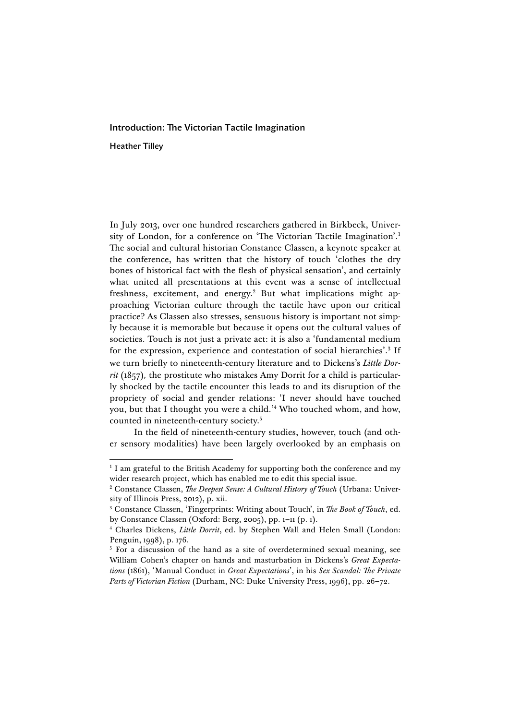## Introduction: The Victorian Tactile Imagination

Heather Tilley

In July 2013, over one hundred researchers gathered in Birkbeck, University of London, for a conference on 'The Victorian Tactile Imagination'. 1 The social and cultural historian Constance Classen, a keynote speaker at the conference, has written that the history of touch 'clothes the dry bones of historical fact with the flesh of physical sensation', and certainly what united all presentations at this event was a sense of intellectual freshness, excitement, and energy.<sup>2</sup> But what implications might approaching Victorian culture through the tactile have upon our critical practice? As Classen also stresses, sensuous history is important not simply because it is memorable but because it opens out the cultural values of societies. Touch is not just a private act: it is also a 'fundamental medium for the expression, experience and contestation of social hierarchies'. <sup>3</sup> If we turn briefly to nineteenth-century literature and to Dickens's *Little Dorrit* (1857)*,* the prostitute who mistakes Amy Dorrit for a child is particularly shocked by the tactile encounter this leads to and its disruption of the propriety of social and gender relations: 'I never should have touched you, but that I thought you were a child.' <sup>4</sup> Who touched whom, and how, counted in nineteenth-century society.5

In the field of nineteenth-century studies, however, touch (and other sensory modalities) have been largely overlooked by an emphasis on

<u> 1989 - Johann Stein, mars et al. 1989 - Anna ann an t-Anna ann an t-Anna ann an t-Anna ann an t-Anna ann an t-</u>

<sup>&</sup>lt;sup>1</sup> I am grateful to the British Academy for supporting both the conference and my wider research project, which has enabled me to edit this special issue.

<sup>&</sup>lt;sup>2</sup> Constance Classen, *The Deepest Sense: A Cultural History of Touch* (Urbana: University of Illinois Press, 2012), p. xii.

<sup>3</sup> Constance Classen, 'Fingerprints: Writing about Touch', in *The Book of Touch*, ed. by Constance Classen (Oxford: Berg, 2005), pp. 1–11 (p. 1).

<sup>4</sup> Charles Dickens, *Little Dorrit*, ed. by Stephen Wall and Helen Small (London: Penguin, 1998), p. 176.

<sup>&</sup>lt;sup>5</sup> For a discussion of the hand as a site of overdetermined sexual meaning, see William Cohen's chapter on hands and masturbation in Dickens's *Great Expectations* (1861), 'Manual Conduct in *Great Expectations*', in his *Sex Scandal: The Private Parts of Victorian Fiction* (Durham, NC: Duke University Press, 1996), pp. 26–72.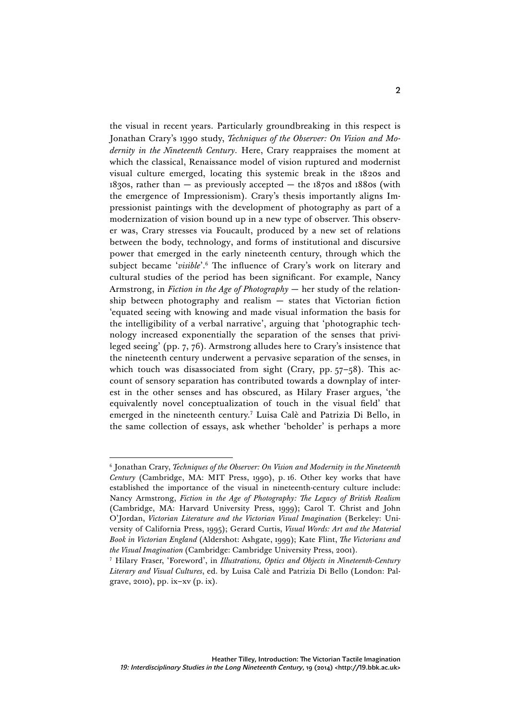the visual in recent years. Particularly groundbreaking in this respect is Jonathan Crary's 1990 study, *Techniques of the Observer: On Vision and Modernity in the Nineteenth Century*. Here, Crary reappraises the moment at which the classical, Renaissance model of vision ruptured and modernist visual culture emerged, locating this systemic break in the 1820s and  $1830s$ , rather than  $-$  as previously accepted  $-$  the 1870s and 1880s (with the emergence of Impressionism). Crary's thesis importantly aligns Impressionist paintings with the development of photography as part of a modernization of vision bound up in a new type of observer. This observer was, Crary stresses via Foucault, produced by a new set of relations between the body, technology, and forms of institutional and discursive power that emerged in the early nineteenth century, through which the subject became '*visible*'. <sup>6</sup> The influence of Crary's work on literary and cultural studies of the period has been significant. For example, Nancy Armstrong, in *Fiction in the Age of Photography* — her study of the relationship between photography and realism — states that Victorian fiction 'equated seeing with knowing and made visual information the basis for the intelligibility of a verbal narrative', arguing that 'photographic technology increased exponentially the separation of the senses that privileged seeing' (pp. 7, 76). Armstrong alludes here to Crary's insistence that the nineteenth century underwent a pervasive separation of the senses, in which touch was disassociated from sight (Crary, pp. 57-58). This account of sensory separation has contributed towards a downplay of interest in the other senses and has obscured, as Hilary Fraser argues, 'the equivalently novel conceptualization of touch in the visual field' that emerged in the nineteenth century.7 Luisa Calè and Patrizia Di Bello, in the same collection of essays, ask whether 'beholder' is perhaps a more

<sup>6</sup> Jonathan Crary, *Techniques of the Observer: On Vision and Modernity in the Nineteenth Century* (Cambridge, MA: MIT Press, 1990), p. 16. Other key works that have established the importance of the visual in nineteenth-century culture include: Nancy Armstrong, *Fiction in the Age of Photography: The Legacy of British Realism*  (Cambridge, MA: Harvard University Press, 1999); Carol T. Christ and John O'Jordan, *Victorian Literature and the Victorian Visual Imagination* (Berkeley: University of California Press, 1995); Gerard Curtis, *Visual Words: Art and the Material Book in Victorian England* (Aldershot: Ashgate, 1999); Kate Flint, *The Victorians and the Visual Imagination* (Cambridge: Cambridge University Press, 2001).

<sup>7</sup> Hilary Fraser, 'Foreword', in *Illustrations, Optics and Objects in Nineteenth-Century Literary and Visual Cultures*, ed. by Luisa Calè and Patrizia Di Bello (London: Palgrave, 2010), pp. ix–xv (p. ix).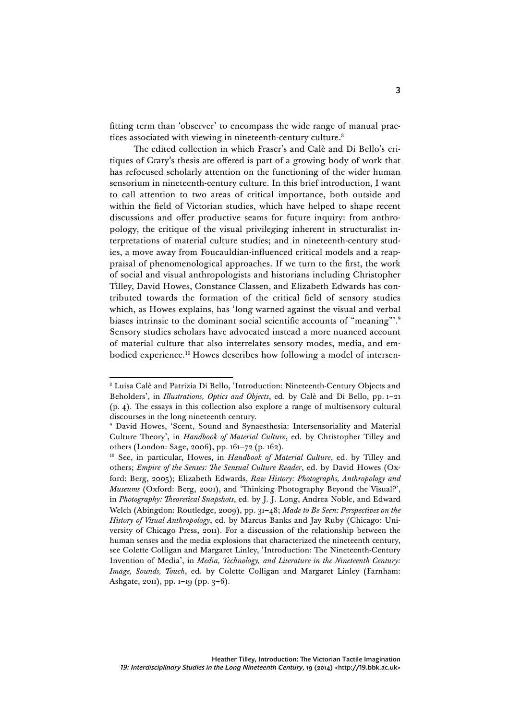fitting term than 'observer' to encompass the wide range of manual practices associated with viewing in nineteenth-century culture.<sup>8</sup>

The edited collection in which Fraser's and Calè and Di Bello's critiques of Crary's thesis are offered is part of a growing body of work that has refocused scholarly attention on the functioning of the wider human sensorium in nineteenth-century culture. In this brief introduction, I want to call attention to two areas of critical importance, both outside and within the field of Victorian studies, which have helped to shape recent discussions and offer productive seams for future inquiry: from anthropology, the critique of the visual privileging inherent in structuralist interpretations of material culture studies; and in nineteenth-century studies, a move away from Foucauldian-influenced critical models and a reappraisal of phenomenological approaches. If we turn to the first, the work of social and visual anthropologists and historians including Christopher Tilley, David Howes, Constance Classen, and Elizabeth Edwards has contributed towards the formation of the critical field of sensory studies which, as Howes explains, has 'long warned against the visual and verbal biases intrinsic to the dominant social scientific accounts of "meaning"'. 9 Sensory studies scholars have advocated instead a more nuanced account of material culture that also interrelates sensory modes, media, and embodied experience.10 Howes describes how following a model of intersen-

 <sup>8</sup> Luisa Calè and Patrizia Di Bello, 'Introduction: Nineteenth-Century Objects and Beholders', in *Illustrations, Optics and Objects*, ed. by Calè and Di Bello, pp. 1–21 (p. 4). The essays in this collection also explore a range of multisensory cultural discourses in the long nineteenth century.

<sup>9</sup> David Howes, 'Scent, Sound and Synaesthesia: Intersensoriality and Material Culture Theory', in *Handbook of Material Culture*, ed. by Christopher Tilley and others (London: Sage, 2006), pp. 161–72 (p. 162).

<sup>&</sup>lt;sup>10</sup> See, in particular, Howes, in *Handbook of Material Culture*, ed. by Tilley and others; *Empire of the Senses: The Sensual Culture Reader*, ed. by David Howes (Oxford: Berg, 2005); Elizabeth Edwards, *Raw History: Photographs, Anthropology and Museums* (Oxford: Berg, 2001), and 'Thinking Photography Beyond the Visual?', in *Photography: Theoretical Snapshots*, ed. by J. J. Long, Andrea Noble, and Edward Welch (Abingdon: Routledge, 2009), pp. 31–48; *Made to Be Seen: Perspectives on the History of Visual Anthropology*, ed. by Marcus Banks and Jay Ruby (Chicago: University of Chicago Press, 2011). For a discussion of the relationship between the human senses and the media explosions that characterized the nineteenth century, see Colette Colligan and Margaret Linley, 'Introduction: The Nineteenth-Century Invention of Media', in *Media, Technology, and Literature in the Nineteenth Century: Image, Sounds, Touch*, ed. by Colette Colligan and Margaret Linley (Farnham: Ashgate, 2011), pp. 1–19 (pp. 3–6).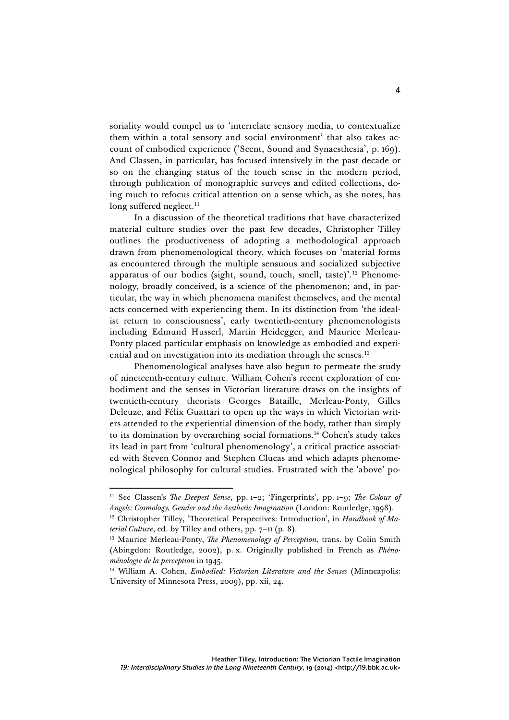soriality would compel us to 'interrelate sensory media, to contextualize them within a total sensory and social environment' that also takes account of embodied experience ('Scent, Sound and Synaesthesia', p. 169). And Classen, in particular, has focused intensively in the past decade or so on the changing status of the touch sense in the modern period, through publication of monographic surveys and edited collections, doing much to refocus critical attention on a sense which, as she notes, has long suffered neglect. 11

In a discussion of the theoretical traditions that have characterized material culture studies over the past few decades, Christopher Tilley outlines the productiveness of adopting a methodological approach drawn from phenomenological theory, which focuses on 'material forms as encountered through the multiple sensuous and socialized subjective apparatus of our bodies (sight, sound, touch, smell, taste)'.<sup>12</sup> Phenomenology, broadly conceived, is a science of the phenomenon; and, in particular, the way in which phenomena manifest themselves, and the mental acts concerned with experiencing them. In its distinction from 'the idealist return to consciousness', early twentieth-century phenomenologists including Edmund Husserl, Martin Heidegger, and Maurice Merleau-Ponty placed particular emphasis on knowledge as embodied and experiential and on investigation into its mediation through the senses.<sup>13</sup>

Phenomenological analyses have also begun to permeate the study of nineteenth-century culture. William Cohen's recent exploration of embodiment and the senses in Victorian literature draws on the insights of twentieth-century theorists Georges Bataille, Merleau-Ponty, Gilles Deleuze, and Félix Guattari to open up the ways in which Victorian writers attended to the experiential dimension of the body, rather than simply to its domination by overarching social formations.14 Cohen's study takes its lead in part from 'cultural phenomenology', a critical practice associated with Steven Connor and Stephen Clucas and which adapts phenomenological philosophy for cultural studies. Frustrated with the 'above' po-

<u> 1989 - Johann Stein, mars et al. 1989 - Anna ann an t-Anna ann an t-Anna ann an t-Anna ann an t-Anna ann an t-</u>

<sup>11</sup> See Classen's *The Deepest Sense*, pp. 1–2; 'Fingerprints', pp. 1–9; *The Colour of Angels: Cosmology, Gender and the Aesthetic Imagination* (London: Routledge, 1998).

<sup>&</sup>lt;sup>12</sup> Christopher Tilley, 'Theoretical Perspectives: Introduction', in *Handbook of Material Culture*, ed. by Tilley and others, pp. 7–11 (p. 8).

<sup>13</sup> Maurice Merleau-Ponty, *The Phenomenology of Perception*, trans. by Colin Smith (Abingdon: Routledge, 2002), p. x. Originally published in French as *Phénoménologie de la perception* in 1945.

<sup>14</sup> William A. Cohen, *Embodied: Victorian Literature and the Senses* (Minneapolis: University of Minnesota Press, 2009), pp. xii, 24.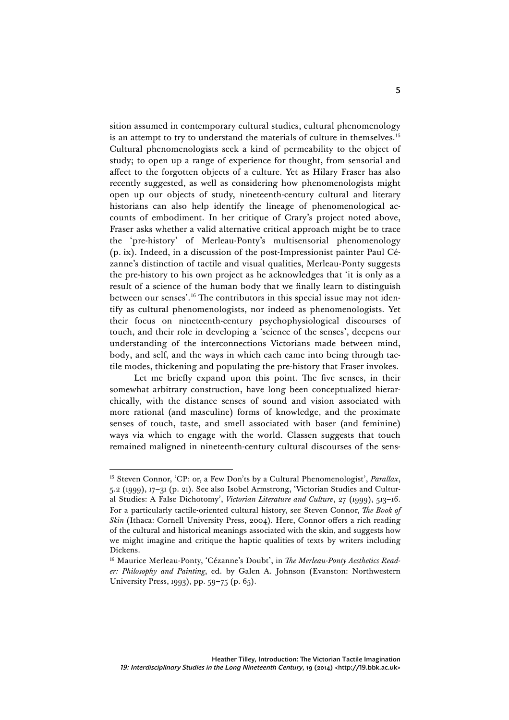sition assumed in contemporary cultural studies, cultural phenomenology is an attempt to try to understand the materials of culture in themselves.<sup>15</sup> Cultural phenomenologists seek a kind of permeability to the object of study; to open up a range of experience for thought, from sensorial and affect to the forgotten objects of a culture. Yet as Hilary Fraser has also recently suggested, as well as considering how phenomenologists might open up our objects of study, nineteenth-century cultural and literary historians can also help identify the lineage of phenomenological accounts of embodiment. In her critique of Crary's project noted above, Fraser asks whether a valid alternative critical approach might be to trace the 'pre-history' of Merleau-Ponty's multisensorial phenomenology (p. ix). Indeed, in a discussion of the post-Impressionist painter Paul Cézanne's distinction of tactile and visual qualities, Merleau-Ponty suggests the pre-history to his own project as he acknowledges that 'it is only as a result of a science of the human body that we finally learn to distinguish between our senses'. <sup>16</sup> The contributors in this special issue may not identify as cultural phenomenologists, nor indeed as phenomenologists. Yet their focus on nineteenth-century psychophysiological discourses of touch, and their role in developing a 'science of the senses', deepens our understanding of the interconnections Victorians made between mind, body, and self, and the ways in which each came into being through tactile modes, thickening and populating the pre-history that Fraser invokes.

Let me briefly expand upon this point. The five senses, in their somewhat arbitrary construction, have long been conceptualized hierarchically, with the distance senses of sound and vision associated with more rational (and masculine) forms of knowledge, and the proximate senses of touch, taste, and smell associated with baser (and feminine) ways via which to engage with the world. Classen suggests that touch remained maligned in nineteenth-century cultural discourses of the sens-

<sup>15</sup> Steven Connor, 'CP: or, a Few Don'ts by a Cultural Phenomenologist', *Parallax*, 5.2 (1999), 17–31 (p. 21). See also Isobel Armstrong, 'Victorian Studies and Cultural Studies: A False Dichotomy', *Victorian Literature and Culture*, 27 (1999), 513–16. For a particularly tactile-oriented cultural history, see Steven Connor, *The Book of Skin* (Ithaca: Cornell University Press, 2004). Here, Connor offers a rich reading of the cultural and historical meanings associated with the skin, and suggests how we might imagine and critique the haptic qualities of texts by writers including Dickens.

<sup>16</sup> Maurice Merleau-Ponty, 'Cézanne's Doubt', in *The Merleau-Ponty Aesthetics Reader: Philosophy and Painting*, ed. by Galen A. Johnson (Evanston: Northwestern University Press, 1993), pp. 59–75 (p. 65).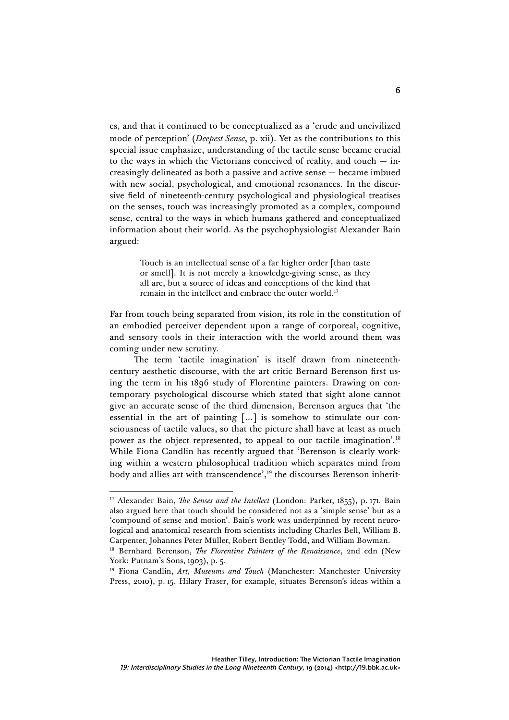es, and that it continued to be conceptualized as a 'crude and uncivilized mode of perception' (*Deepest Sense*, p. xii). Yet as the contributions to this special issue emphasize, understanding of the tactile sense became crucial to the ways in which the Victorians conceived of reality, and touch  $-$  increasingly delineated as both a passive and active sense — became imbued with new social, psychological, and emotional resonances. In the discursive field of nineteenth-century psychological and physiological treatises on the senses, touch was increasingly promoted as a complex, compound sense, central to the ways in which humans gathered and conceptualized information about their world. As the psychophysiologist Alexander Bain argued:

> Touch is an intellectual sense of a far higher order [than taste or smell]. It is not merely a knowledge-giving sense, as they all are, but a source of ideas and conceptions of the kind that remain in the intellect and embrace the outer world.<sup>17</sup>

Far from touch being separated from vision, its role in the constitution of an embodied perceiver dependent upon a range of corporeal, cognitive, and sensory tools in their interaction with the world around them was coming under new scrutiny.

The term 'tactile imagination' is itself drawn from nineteenthcentury aesthetic discourse, with the art critic Bernard Berenson first using the term in his 1896 study of Florentine painters. Drawing on contemporary psychological discourse which stated that sight alone cannot give an accurate sense of the third dimension, Berenson argues that 'the essential in the art of painting […] is somehow to stimulate our consciousness of tactile values, so that the picture shall have at least as much power as the object represented, to appeal to our tactile imagination'. 18 While Fiona Candlin has recently argued that 'Berenson is clearly working within a western philosophical tradition which separates mind from body and allies art with transcendence', <sup>19</sup> the discourses Berenson inherit-

<sup>&</sup>lt;sup>17</sup> Alexander Bain, *The Senses and the Intellect* (London: Parker, 1855), p. 171. Bain also argued here that touch should be considered not as a 'simple sense' but as a 'compound of sense and motion'. Bain's work was underpinned by recent neurological and anatomical research from scientists including Charles Bell, William B. Carpenter, Johannes Peter Müller, Robert Bentley Todd, and William Bowman.

<sup>18</sup> Bernhard Berenson, *The Florentine Painters of the Renaissance*, 2nd edn (New York: Putnam's Sons, 1903), p. 5.

<sup>&</sup>lt;sup>19</sup> Fiona Candlin, *Art, Museums and Touch* (Manchester: Manchester University Press, 2010), p. 15. Hilary Fraser, for example, situates Berenson's ideas within a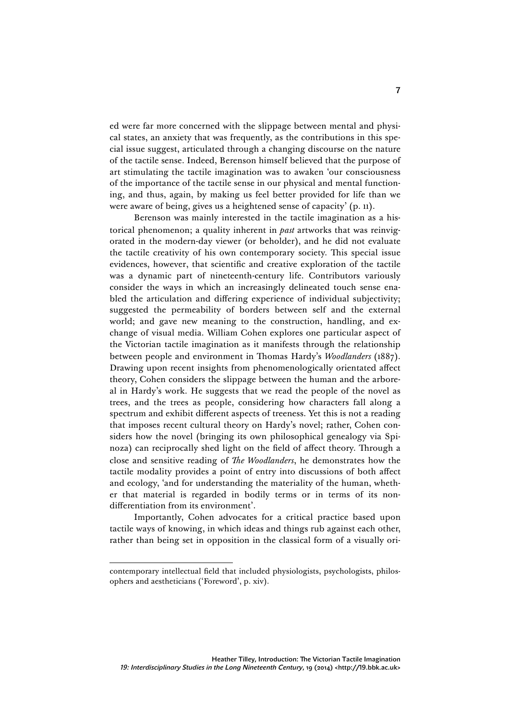ed were far more concerned with the slippage between mental and physical states, an anxiety that was frequently, as the contributions in this special issue suggest, articulated through a changing discourse on the nature of the tactile sense. Indeed, Berenson himself believed that the purpose of art stimulating the tactile imagination was to awaken 'our consciousness of the importance of the tactile sense in our physical and mental functioning, and thus, again, by making us feel better provided for life than we were aware of being, gives us a heightened sense of capacity' (p. 11).

Berenson was mainly interested in the tactile imagination as a historical phenomenon; a quality inherent in *past* artworks that was reinvigorated in the modern-day viewer (or beholder), and he did not evaluate the tactile creativity of his own contemporary society. This special issue evidences, however, that scientific and creative exploration of the tactile was a dynamic part of nineteenth-century life. Contributors variously consider the ways in which an increasingly delineated touch sense enabled the articulation and differing experience of individual subjectivity; suggested the permeability of borders between self and the external world; and gave new meaning to the construction, handling, and exchange of visual media. William Cohen explores one particular aspect of the Victorian tactile imagination as it manifests through the relationship between people and environment in Thomas Hardy's *Woodlanders* (1887). Drawing upon recent insights from phenomenologically orientated affect theory, Cohen considers the slippage between the human and the arboreal in Hardy's work. He suggests that we read the people of the novel as trees, and the trees as people, considering how characters fall along a spectrum and exhibit different aspects of treeness. Yet this is not a reading that imposes recent cultural theory on Hardy's novel; rather, Cohen considers how the novel (bringing its own philosophical genealogy via Spinoza) can reciprocally shed light on the field of affect theory. Through a close and sensitive reading of *The Woodlanders*, he demonstrates how the tactile modality provides a point of entry into discussions of both affect and ecology, 'and for understanding the materiality of the human, whether that material is regarded in bodily terms or in terms of its nondifferentiation from its environment'.

Importantly, Cohen advocates for a critical practice based upon tactile ways of knowing, in which ideas and things rub against each other, rather than being set in opposition in the classical form of a visually ori-

contemporary intellectual field that included physiologists, psychologists, philosophers and aestheticians ('Foreword', p. xiv).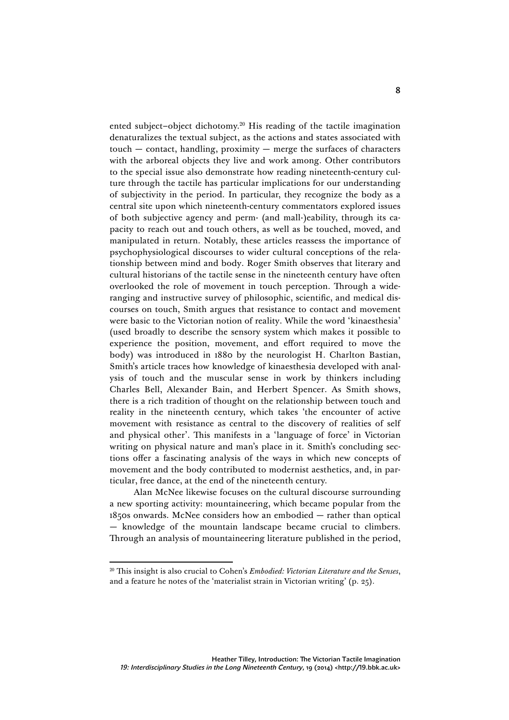ented subject–object dichotomy.20 His reading of the tactile imagination denaturalizes the textual subject, as the actions and states associated with touch — contact, handling, proximity — merge the surfaces of characters with the arboreal objects they live and work among. Other contributors to the special issue also demonstrate how reading nineteenth-century culture through the tactile has particular implications for our understanding of subjectivity in the period. In particular, they recognize the body as a central site upon which nineteenth-century commentators explored issues of both subjective agency and perm- (and mall-)eability, through its capacity to reach out and touch others, as well as be touched, moved, and manipulated in return. Notably, these articles reassess the importance of psychophysiological discourses to wider cultural conceptions of the relationship between mind and body. Roger Smith observes that literary and cultural historians of the tactile sense in the nineteenth century have often overlooked the role of movement in touch perception. Through a wideranging and instructive survey of philosophic, scientific, and medical discourses on touch, Smith argues that resistance to contact and movement were basic to the Victorian notion of reality. While the word 'kinaesthesia' (used broadly to describe the sensory system which makes it possible to experience the position, movement, and effort required to move the body) was introduced in 1880 by the neurologist H. Charlton Bastian, Smith's article traces how knowledge of kinaesthesia developed with analysis of touch and the muscular sense in work by thinkers including Charles Bell, Alexander Bain, and Herbert Spencer. As Smith shows, there is a rich tradition of thought on the relationship between touch and reality in the nineteenth century, which takes 'the encounter of active movement with resistance as central to the discovery of realities of self and physical other'. This manifests in a 'language of force' in Victorian writing on physical nature and man's place in it. Smith's concluding sections offer a fascinating analysis of the ways in which new concepts of movement and the body contributed to modernist aesthetics, and, in particular, free dance, at the end of the nineteenth century.

Alan McNee likewise focuses on the cultural discourse surrounding a new sporting activity: mountaineering, which became popular from the 1850s onwards. McNee considers how an embodied — rather than optical — knowledge of the mountain landscape became crucial to climbers. Through an analysis of mountaineering literature published in the period,

<sup>20</sup> This insight is also crucial to Cohen's *Embodied: Victorian Literature and the Senses*, and a feature he notes of the 'materialist strain in Victorian writing' (p. 25).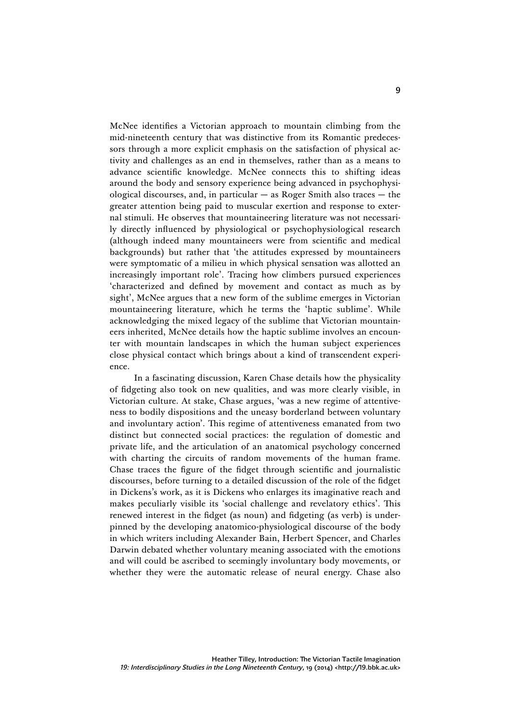McNee identifies a Victorian approach to mountain climbing from the mid-nineteenth century that was distinctive from its Romantic predecessors through a more explicit emphasis on the satisfaction of physical activity and challenges as an end in themselves, rather than as a means to advance scientific knowledge. McNee connects this to shifting ideas around the body and sensory experience being advanced in psychophysiological discourses, and, in particular  $-$  as Roger Smith also traces  $-$  the greater attention being paid to muscular exertion and response to external stimuli. He observes that mountaineering literature was not necessarily directly influenced by physiological or psychophysiological research (although indeed many mountaineers were from scientific and medical backgrounds) but rather that 'the attitudes expressed by mountaineers were symptomatic of a milieu in which physical sensation was allotted an increasingly important role'. Tracing how climbers pursued experiences 'characterized and defined by movement and contact as much as by sight', McNee argues that a new form of the sublime emerges in Victorian mountaineering literature, which he terms the 'haptic sublime'. While acknowledging the mixed legacy of the sublime that Victorian mountaineers inherited, McNee details how the haptic sublime involves an encounter with mountain landscapes in which the human subject experiences close physical contact which brings about a kind of transcendent experience.

In a fascinating discussion, Karen Chase details how the physicality of fidgeting also took on new qualities, and was more clearly visible, in Victorian culture. At stake, Chase argues, 'was a new regime of attentiveness to bodily dispositions and the uneasy borderland between voluntary and involuntary action'. This regime of attentiveness emanated from two distinct but connected social practices: the regulation of domestic and private life, and the articulation of an anatomical psychology concerned with charting the circuits of random movements of the human frame. Chase traces the figure of the fidget through scientific and journalistic discourses, before turning to a detailed discussion of the role of the fidget in Dickens's work, as it is Dickens who enlarges its imaginative reach and makes peculiarly visible its 'social challenge and revelatory ethics'. This renewed interest in the fidget (as noun) and fidgeting (as verb) is underpinned by the developing anatomico-physiological discourse of the body in which writers including Alexander Bain, Herbert Spencer, and Charles Darwin debated whether voluntary meaning associated with the emotions and will could be ascribed to seemingly involuntary body movements, or whether they were the automatic release of neural energy. Chase also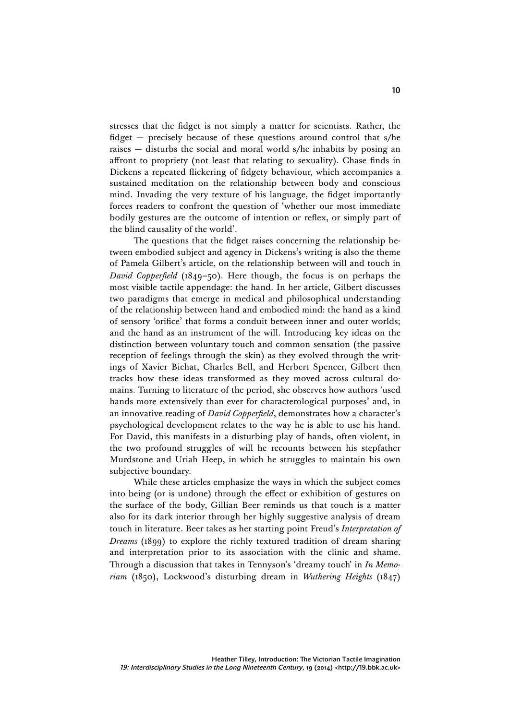stresses that the fidget is not simply a matter for scientists. Rather, the fidget — precisely because of these questions around control that s/he raises — disturbs the social and moral world s/he inhabits by posing an affront to propriety (not least that relating to sexuality). Chase finds in Dickens a repeated flickering of fidgety behaviour, which accompanies a sustained meditation on the relationship between body and conscious mind. Invading the very texture of his language, the fidget importantly forces readers to confront the question of 'whether our most immediate bodily gestures are the outcome of intention or reflex, or simply part of the blind causality of the world'.

The questions that the fidget raises concerning the relationship between embodied subject and agency in Dickens's writing is also the theme of Pamela Gilbert's article, on the relationship between will and touch in *David Copperfield* (1849–50). Here though, the focus is on perhaps the most visible tactile appendage: the hand. In her article, Gilbert discusses two paradigms that emerge in medical and philosophical understanding of the relationship between hand and embodied mind: the hand as a kind of sensory 'orifice' that forms a conduit between inner and outer worlds; and the hand as an instrument of the will. Introducing key ideas on the distinction between voluntary touch and common sensation (the passive reception of feelings through the skin) as they evolved through the writings of Xavier Bichat, Charles Bell, and Herbert Spencer, Gilbert then tracks how these ideas transformed as they moved across cultural domains. Turning to literature of the period, she observes how authors 'used hands more extensively than ever for characterological purposes' and, in an innovative reading of *David Copperfield*, demonstrates how a character's psychological development relates to the way he is able to use his hand. For David, this manifests in a disturbing play of hands, often violent, in the two profound struggles of will he recounts between his stepfather Murdstone and Uriah Heep, in which he struggles to maintain his own subjective boundary.

While these articles emphasize the ways in which the subject comes into being (or is undone) through the effect or exhibition of gestures on the surface of the body, Gillian Beer reminds us that touch is a matter also for its dark interior through her highly suggestive analysis of dream touch in literature. Beer takes as her starting point Freud's *Interpretation of Dreams* (1899) to explore the richly textured tradition of dream sharing and interpretation prior to its association with the clinic and shame. Through a discussion that takes in Tennyson's 'dreamy touch' in *In Memoriam* (1850), Lockwood's disturbing dream in *Wuthering Heights* (1847)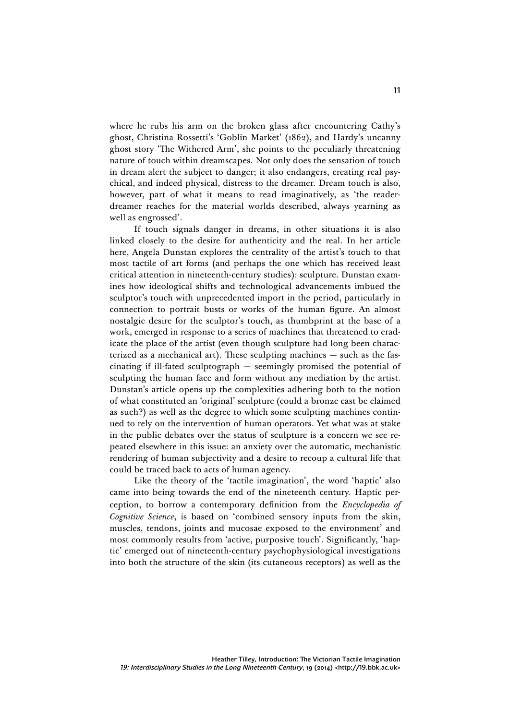where he rubs his arm on the broken glass after encountering Cathy's ghost, Christina Rossetti's 'Goblin Market' (1862), and Hardy's uncanny ghost story 'The Withered Arm', she points to the peculiarly threatening nature of touch within dreamscapes. Not only does the sensation of touch in dream alert the subject to danger; it also endangers, creating real psychical, and indeed physical, distress to the dreamer. Dream touch is also, however, part of what it means to read imaginatively, as 'the readerdreamer reaches for the material worlds described, always yearning as well as engrossed'.

If touch signals danger in dreams, in other situations it is also linked closely to the desire for authenticity and the real. In her article here, Angela Dunstan explores the centrality of the artist's touch to that most tactile of art forms (and perhaps the one which has received least critical attention in nineteenth-century studies): sculpture. Dunstan examines how ideological shifts and technological advancements imbued the sculptor's touch with unprecedented import in the period, particularly in connection to portrait busts or works of the human figure. An almost nostalgic desire for the sculptor's touch, as thumbprint at the base of a work, emerged in response to a series of machines that threatened to eradicate the place of the artist (even though sculpture had long been characterized as a mechanical art). These sculpting machines — such as the fascinating if ill-fated sculptograph — seemingly promised the potential of sculpting the human face and form without any mediation by the artist. Dunstan's article opens up the complexities adhering both to the notion of what constituted an 'original' sculpture (could a bronze cast be claimed as such?) as well as the degree to which some sculpting machines continued to rely on the intervention of human operators. Yet what was at stake in the public debates over the status of sculpture is a concern we see repeated elsewhere in this issue: an anxiety over the automatic, mechanistic rendering of human subjectivity and a desire to recoup a cultural life that could be traced back to acts of human agency.

Like the theory of the 'tactile imagination', the word 'haptic' also came into being towards the end of the nineteenth century. Haptic perception, to borrow a contemporary definition from the *Encyclopedia of Cognitive Science*, is based on 'combined sensory inputs from the skin, muscles, tendons, joints and mucosae exposed to the environment' and most commonly results from 'active, purposive touch'. Significantly, 'haptic' emerged out of nineteenth-century psychophysiological investigations into both the structure of the skin (its cutaneous receptors) as well as the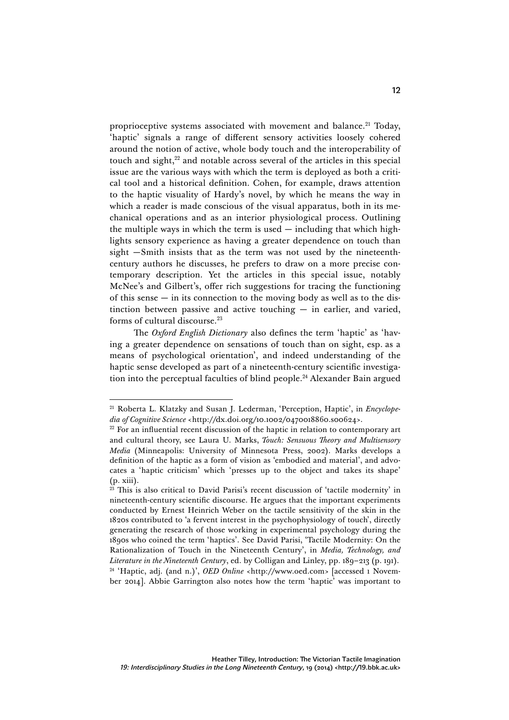proprioceptive systems associated with movement and balance.<sup>21</sup> Today, 'haptic' signals a range of different sensory activities loosely cohered around the notion of active, whole body touch and the interoperability of touch and sight, $^{22}$  and notable across several of the articles in this special issue are the various ways with which the term is deployed as both a critical tool and a historical definition. Cohen, for example, draws attention to the haptic visuality of Hardy's novel, by which he means the way in which a reader is made conscious of the visual apparatus, both in its mechanical operations and as an interior physiological process. Outlining the multiple ways in which the term is used  $-$  including that which highlights sensory experience as having a greater dependence on touch than sight —Smith insists that as the term was not used by the nineteenthcentury authors he discusses, he prefers to draw on a more precise contemporary description. Yet the articles in this special issue, notably McNee's and Gilbert's, offer rich suggestions for tracing the functioning of this sense — in its connection to the moving body as well as to the distinction between passive and active touching — in earlier, and varied, forms of cultural discourse. 23

The *Oxford English Dictionary* also defines the term 'haptic' as 'having a greater dependence on sensations of touch than on sight, esp. as a means of psychological orientation', and indeed understanding of the haptic sense developed as part of a nineteenth-century scientific investigation into the perceptual faculties of blind people.<sup>24</sup> Alexander Bain argued

<sup>21</sup> Roberta L. Klatzky and Susan J. Lederman, 'Perception, Haptic', in *Encyclopedia of Cognitive Science* <http://dx.doi.org/10.1002/0470018860.s00624>.

 $22$  For an influential recent discussion of the haptic in relation to contemporary art and cultural theory, see Laura U. Marks, *Touch: Sensuous Theory and Multisensory Media* (Minneapolis: University of Minnesota Press, 2002). Marks develops a definition of the haptic as a form of vision as 'embodied and material', and advocates a 'haptic criticism' which 'presses up to the object and takes its shape' (p. xiii).

<sup>&</sup>lt;sup>23</sup> This is also critical to David Parisi's recent discussion of 'tactile modernity' in nineteenth-century scientific discourse. He argues that the important experiments conducted by Ernest Heinrich Weber on the tactile sensitivity of the skin in the 1820s contributed to 'a fervent interest in the psychophysiology of touch', directly generating the research of those working in experimental psychology during the 1890s who coined the term 'haptics'. See David Parisi, 'Tactile Modernity: On the Rationalization of Touch in the Nineteenth Century', in *Media, Technology, and Literature in the Nineteenth Century*, ed. by Colligan and Linley, pp. 189–213 (p. 191). <sup>24</sup> 'Haptic, adj. (and n.)', *OED Online* <http://www.oed.com> [accessed 1 November 2014]. Abbie Garrington also notes how the term 'haptic' was important to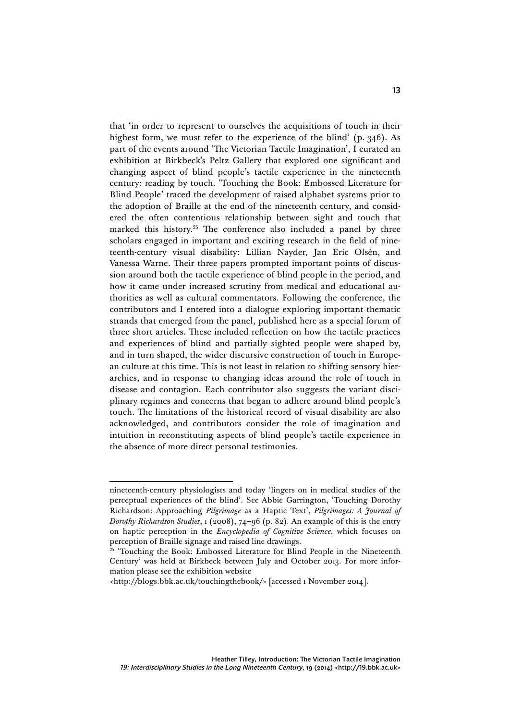that 'in order to represent to ourselves the acquisitions of touch in their highest form, we must refer to the experience of the blind' (p. 346). As part of the events around 'The Victorian Tactile Imagination', I curated an exhibition at Birkbeck's Peltz Gallery that explored one significant and changing aspect of blind people's tactile experience in the nineteenth century: reading by touch. 'Touching the Book: Embossed Literature for Blind People' traced the development of raised alphabet systems prior to the adoption of Braille at the end of the nineteenth century, and considered the often contentious relationship between sight and touch that marked this history.25 The conference also included a panel by three scholars engaged in important and exciting research in the field of nineteenth-century visual disability: Lillian Nayder, Jan Eric Olsén, and Vanessa Warne. Their three papers prompted important points of discussion around both the tactile experience of blind people in the period, and how it came under increased scrutiny from medical and educational authorities as well as cultural commentators. Following the conference, the contributors and I entered into a dialogue exploring important thematic strands that emerged from the panel, published here as a special forum of three short articles. These included reflection on how the tactile practices and experiences of blind and partially sighted people were shaped by, and in turn shaped, the wider discursive construction of touch in European culture at this time. This is not least in relation to shifting sensory hierarchies, and in response to changing ideas around the role of touch in disease and contagion. Each contributor also suggests the variant disciplinary regimes and concerns that began to adhere around blind people's touch. The limitations of the historical record of visual disability are also acknowledged, and contributors consider the role of imagination and intuition in reconstituting aspects of blind people's tactile experience in the absence of more direct personal testimonies.

<u> 1989 - Johann Stein, mars et al. 1989 - Anna ann an t-Anna ann an t-Anna ann an t-Anna ann an t-Anna ann an t-</u>

nineteenth-century physiologists and today 'lingers on in medical studies of the perceptual experiences of the blind'. See Abbie Garrington, 'Touching Dorothy Richardson: Approaching *Pilgrimage* as a Haptic Text', *Pilgrimages: A Journal of Dorothy Richardson Studies*, 1 (2008), 74–96 (p. 82). An example of this is the entry on haptic perception in the *Encyclopedia of Cognitive Science*, which focuses on perception of Braille signage and raised line drawings.

<sup>&</sup>lt;sup>25</sup> 'Touching the Book: Embossed Literature for Blind People in the Nineteenth Century' was held at Birkbeck between July and October 2013. For more information please see the exhibition website

<sup>&</sup>lt;http://blogs.bbk.ac.uk/touchingthebook/> [accessed 1 November 2014].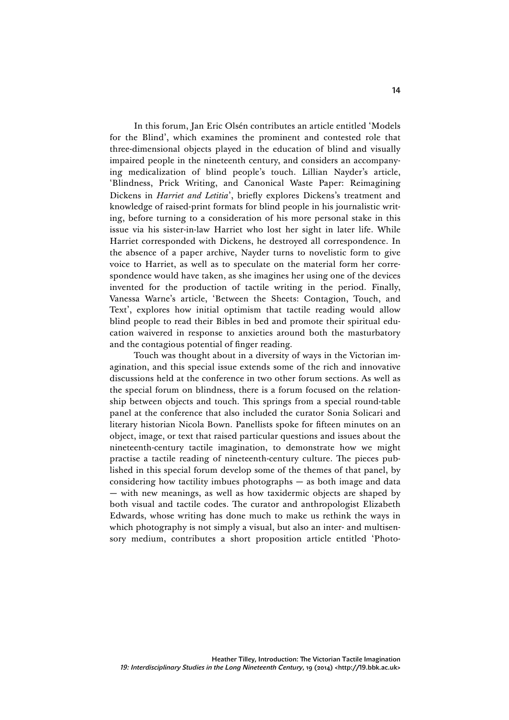In this forum, Jan Eric Olsén contributes an article entitled 'Models for the Blind', which examines the prominent and contested role that three-dimensional objects played in the education of blind and visually impaired people in the nineteenth century, and considers an accompanying medicalization of blind people's touch. Lillian Nayder's article, 'Blindness, Prick Writing, and Canonical Waste Paper: Reimagining Dickens in *Harriet and Letitia*', briefly explores Dickens's treatment and knowledge of raised-print formats for blind people in his journalistic writing, before turning to a consideration of his more personal stake in this issue via his sister-in-law Harriet who lost her sight in later life. While Harriet corresponded with Dickens, he destroyed all correspondence. In the absence of a paper archive, Nayder turns to novelistic form to give voice to Harriet, as well as to speculate on the material form her correspondence would have taken, as she imagines her using one of the devices invented for the production of tactile writing in the period. Finally, Vanessa Warne's article, 'Between the Sheets: Contagion, Touch, and Text', explores how initial optimism that tactile reading would allow blind people to read their Bibles in bed and promote their spiritual education waivered in response to anxieties around both the masturbatory and the contagious potential of finger reading.

Touch was thought about in a diversity of ways in the Victorian imagination, and this special issue extends some of the rich and innovative discussions held at the conference in two other forum sections. As well as the special forum on blindness, there is a forum focused on the relationship between objects and touch. This springs from a special round-table panel at the conference that also included the curator Sonia Solicari and literary historian Nicola Bown. Panellists spoke for fifteen minutes on an object, image, or text that raised particular questions and issues about the nineteenth-century tactile imagination, to demonstrate how we might practise a tactile reading of nineteenth-century culture. The pieces published in this special forum develop some of the themes of that panel, by considering how tactility imbues photographs — as both image and data — with new meanings, as well as how taxidermic objects are shaped by both visual and tactile codes. The curator and anthropologist Elizabeth Edwards, whose writing has done much to make us rethink the ways in which photography is not simply a visual, but also an inter- and multisensory medium, contributes a short proposition article entitled 'Photo-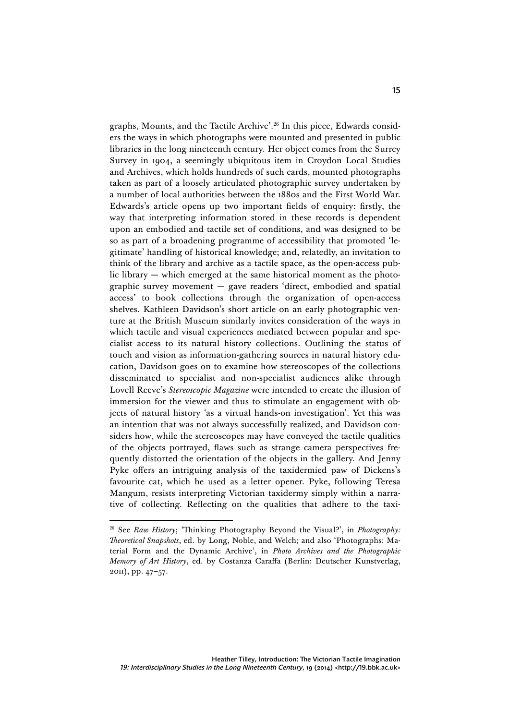graphs, Mounts, and the Tactile Archive'. <sup>26</sup> In this piece, Edwards considers the ways in which photographs were mounted and presented in public libraries in the long nineteenth century. Her object comes from the Surrey Survey in 1904, a seemingly ubiquitous item in Croydon Local Studies and Archives, which holds hundreds of such cards, mounted photographs taken as part of a loosely articulated photographic survey undertaken by a number of local authorities between the 1880s and the First World War. Edwards's article opens up two important fields of enquiry: firstly, the way that interpreting information stored in these records is dependent upon an embodied and tactile set of conditions, and was designed to be so as part of a broadening programme of accessibility that promoted 'legitimate' handling of historical knowledge; and, relatedly, an invitation to think of the library and archive as a tactile space, as the open-access public library — which emerged at the same historical moment as the photographic survey movement — gave readers 'direct, embodied and spatial access' to book collections through the organization of open-access shelves. Kathleen Davidson's short article on an early photographic venture at the British Museum similarly invites consideration of the ways in which tactile and visual experiences mediated between popular and specialist access to its natural history collections. Outlining the status of touch and vision as information-gathering sources in natural history education, Davidson goes on to examine how stereoscopes of the collections disseminated to specialist and non-specialist audiences alike through Lovell Reeve's *Stereoscopic Magazine* were intended to create the illusion of immersion for the viewer and thus to stimulate an engagement with objects of natural history 'as a virtual hands-on investigation'. Yet this was an intention that was not always successfully realized, and Davidson considers how, while the stereoscopes may have conveyed the tactile qualities of the objects portrayed, flaws such as strange camera perspectives frequently distorted the orientation of the objects in the gallery. And Jenny Pyke offers an intriguing analysis of the taxidermied paw of Dickens's favourite cat, which he used as a letter opener. Pyke, following Teresa Mangum, resists interpreting Victorian taxidermy simply within a narrative of collecting. Reflecting on the qualities that adhere to the taxi-

<sup>26</sup> See *Raw History*; 'Thinking Photography Beyond the Visual?', in *Photography: Theoretical Snapshots*, ed. by Long, Noble, and Welch; and also 'Photographs: Material Form and the Dynamic Archive', in *Photo Archives and the Photographic Memory of Art History*, ed. by Costanza Caraffa (Berlin: Deutscher Kunstverlag, 2011), pp. 47–57.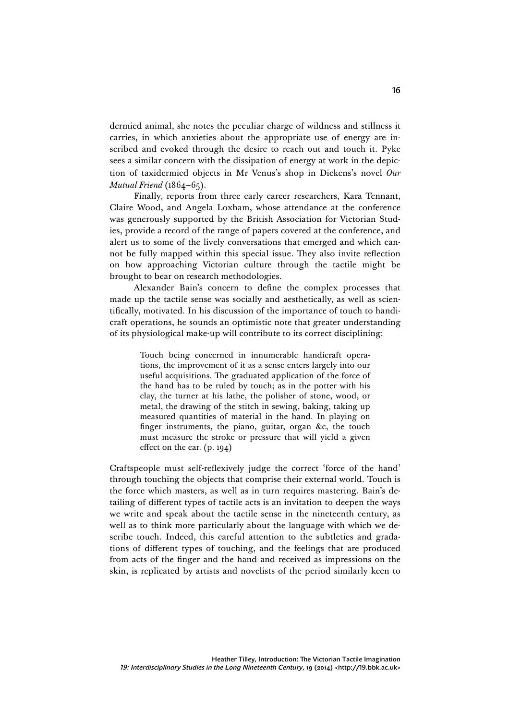dermied animal, she notes the peculiar charge of wildness and stillness it carries, in which anxieties about the appropriate use of energy are inscribed and evoked through the desire to reach out and touch it. Pyke sees a similar concern with the dissipation of energy at work in the depiction of taxidermied objects in Mr Venus's shop in Dickens's novel *Our Mutual Friend* (1864–65).

Finally, reports from three early career researchers, Kara Tennant, Claire Wood, and Angela Loxham, whose attendance at the conference was generously supported by the British Association for Victorian Studies, provide a record of the range of papers covered at the conference, and alert us to some of the lively conversations that emerged and which cannot be fully mapped within this special issue. They also invite reflection on how approaching Victorian culture through the tactile might be brought to bear on research methodologies.

Alexander Bain's concern to define the complex processes that made up the tactile sense was socially and aesthetically, as well as scientifically, motivated. In his discussion of the importance of touch to handicraft operations, he sounds an optimistic note that greater understanding of its physiological make-up will contribute to its correct disciplining:

> Touch being concerned in innumerable handicraft operations, the improvement of it as a sense enters largely into our useful acquisitions. The graduated application of the force of the hand has to be ruled by touch; as in the potter with his clay, the turner at his lathe, the polisher of stone, wood, or metal, the drawing of the stitch in sewing, baking, taking up measured quantities of material in the hand. In playing on finger instruments, the piano, guitar, organ &c, the touch must measure the stroke or pressure that will yield a given effect on the ear. (p. 194)

Craftspeople must self-reflexively judge the correct 'force of the hand' through touching the objects that comprise their external world. Touch is the force which masters, as well as in turn requires mastering. Bain's detailing of different types of tactile acts is an invitation to deepen the ways we write and speak about the tactile sense in the nineteenth century, as well as to think more particularly about the language with which we describe touch. Indeed, this careful attention to the subtleties and gradations of different types of touching, and the feelings that are produced from acts of the finger and the hand and received as impressions on the skin, is replicated by artists and novelists of the period similarly keen to